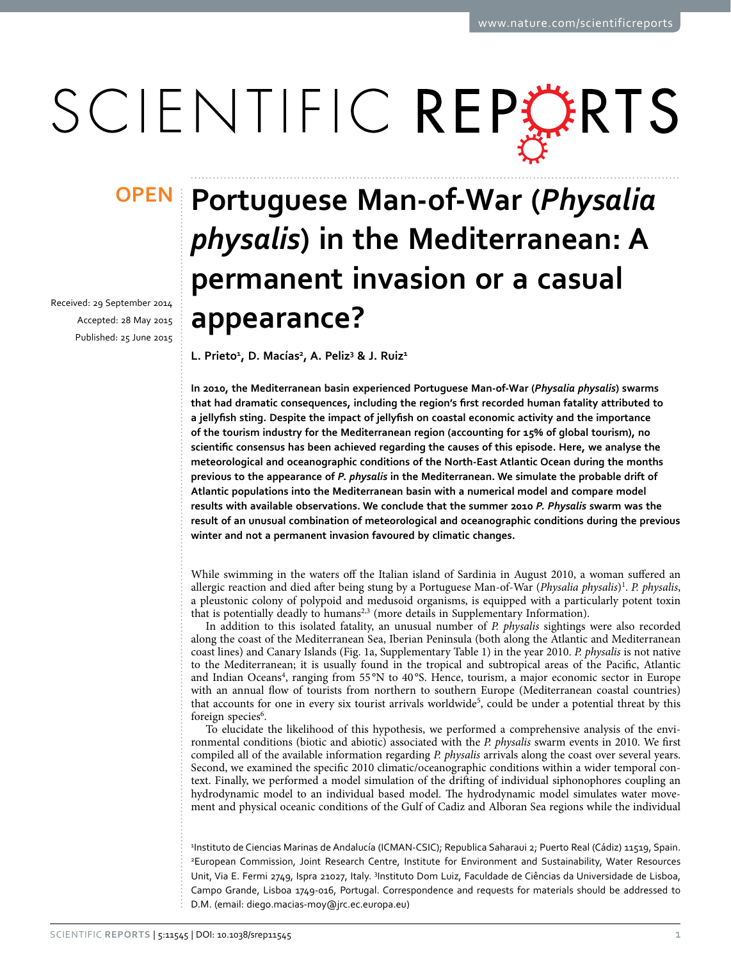# SCIENTIFIC REPERTS

Received: 29 September 2014 accepted: 28 May 2015 Published: 25 June 2015

## **Portuguese Man-of-War (***Physalia*  **OPEN***physalis***) in the Mediterranean: A permanent invasion or a casual appearance?**

L. Prieto<sup>1</sup>, D. Macías<sup>2</sup>, A. Peliz<sup>3</sup> & J. Ruiz<sup>1</sup>

**In 2010, the Mediterranean basin experienced Portuguese Man-of-War (***Physalia physalis***) swarms that had dramatic consequences, including the region's first recorded human fatality attributed to a jellyfish sting. Despite the impact of jellyfish on coastal economic activity and the importance of the tourism industry for the Mediterranean region (accounting for 15% of global tourism), no scientific consensus has been achieved regarding the causes of this episode. Here, we analyse the meteorological and oceanographic conditions of the North-East Atlantic Ocean during the months previous to the appearance of** *P. physalis* **in the Mediterranean. We simulate the probable drift of Atlantic populations into the Mediterranean basin with a numerical model and compare model results with available observations. We conclude that the summer 2010** *P. Physalis* **swarm was the result of an unusual combination of meteorological and oceanographic conditions during the previous winter and not a permanent invasion favoured by climatic changes.**

While swimming in the waters off the Italian island of Sardinia in August 2010, a woman suffered an allergic reaction and died after being stung by a Portuguese Man-of-War (Physalia physalis)<sup>[1](#page-5-0)</sup>. P. physalis, a pleustonic colony of polypoid and medusoid organisms, is equipped with a particularly potent toxin that is potentially deadly to humans<sup>2,3</sup> (more details in Supplementary Information).

In addition to this isolated fatality, an unusual number of *P. physalis* sightings were also recorded along the coast of the Mediterranean Sea, Iberian Peninsula (both along the Atlantic and Mediterranean coast lines) and Canary Islands ([Fig. 1a](#page-1-0), Supplementary Table 1) in the year 2010. *P. physalis* is not native to the Mediterranean; it is usually found in the tropical and subtropical areas of the Pacific, Atlantic and Indian Oceans<sup>[4](#page-5-3)</sup>, ranging from 55°N to 40°S. Hence, tourism, a major economic sector in Europe with an annual flow of tourists from northern to southern Europe (Mediterranean coastal countries) that accounts for one in every six tourist arrivals worldwide<sup>[5](#page-5-4)</sup>, could be under a potential threat by this foreign species<sup>6</sup>.

To elucidate the likelihood of this hypothesis, we performed a comprehensive analysis of the environmental conditions (biotic and abiotic) associated with the *P. physalis* swarm events in 2010. We first compiled all of the available information regarding *P. physalis* arrivals along the coast over several years. Second, we examined the specific 2010 climatic/oceanographic conditions within a wider temporal context. Finally, we performed a model simulation of the drifting of individual siphonophores coupling an hydrodynamic model to an individual based model. The hydrodynamic model simulates water movement and physical oceanic conditions of the Gulf of Cadiz and Alboran Sea regions while the individual

1 Instituto de Ciencias Marinas de Andalucía (ICMAN-CSIC); Republica Saharaui 2; Puerto Real (Cádiz) 11519, Spain. 2 European Commission, Joint Research Centre, Institute for Environment and Sustainability, Water Resources Unit, Via E. Fermi 2749, Ispra 21027, Italy. <sup>3</sup>Instituto Dom Luiz, Faculdade de Ciências da Universidade de Lisboa, Campo Grande, Lisboa 1749-016, Portugal. Correspondence and requests for materials should be addressed to D.M. (email: [diego.macias-moy@jrc.ec.europa.eu](mailto:diego.macias-moy@jrc.ec.europa.eu))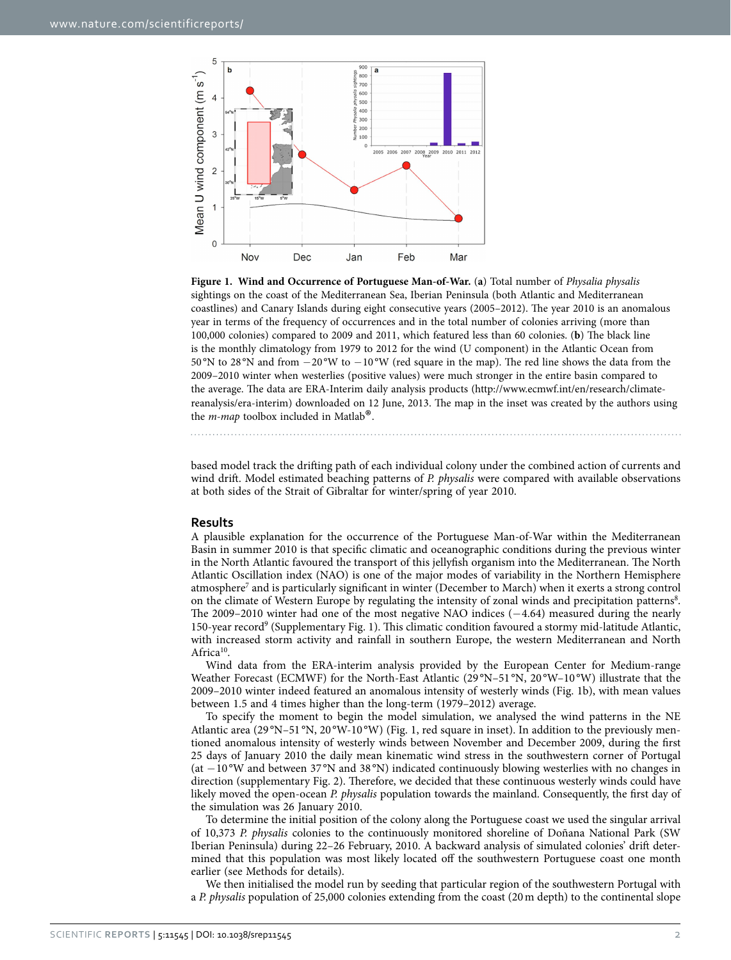

<span id="page-1-0"></span>**Figure 1. Wind and Occurrence of Portuguese Man-of-War.** (**a**) Total number of *Physalia physalis* sightings on the coast of the Mediterranean Sea, Iberian Peninsula (both Atlantic and Mediterranean coastlines) and Canary Islands during eight consecutive years (2005–2012). The year 2010 is an anomalous year in terms of the frequency of occurrences and in the total number of colonies arriving (more than 100,000 colonies) compared to 2009 and 2011, which featured less than 60 colonies. (**b**) The black line is the monthly climatology from 1979 to 2012 for the wind (U component) in the Atlantic Ocean from 50 °N to 28 °N and from −20 °W to −10 °W (red square in the map). The red line shows the data from the 2009–2010 winter when westerlies (positive values) were much stronger in the entire basin compared to the average. The data are ERA-Interim daily analysis products [\(http://www.ecmwf.int/en/research/climate](http://www.ecmwf.int/en/research/climate-reanalysis/era-interim)[reanalysis/era-interim\)](http://www.ecmwf.int/en/research/climate-reanalysis/era-interim) downloaded on 12 June, 2013. The map in the inset was created by the authors using the *m-map* toolbox included in Matlab®.

based model track the drifting path of each individual colony under the combined action of currents and wind drift. Model estimated beaching patterns of *P. physalis* were compared with available observations at both sides of the Strait of Gibraltar for winter/spring of year 2010.

#### **Results**

A plausible explanation for the occurrence of the Portuguese Man-of-War within the Mediterranean Basin in summer 2010 is that specific climatic and oceanographic conditions during the previous winter in the North Atlantic favoured the transport of this jellyfish organism into the Mediterranean. The North Atlantic Oscillation index (NAO) is one of the major modes of variability in the Northern Hemisphere atmosphere<sup>7</sup> and is particularly significant in winter (December to March) when it exerts a strong control on the climate of Western Europe by regulating the intensity of zonal winds and precipitation patterns<sup>[8](#page-5-7)</sup>. The 2009–2010 winter had one of the most negative NAO indices (−4.64) measured during the nearly 150-year record<sup>[9](#page-5-8)</sup> (Supplementary Fig. 1). This climatic condition favoured a stormy mid-latitude Atlantic, with increased storm activity and rainfall in southern Europe, the western Mediterranean and North Africa<sup>10</sup>.

Wind data from the ERA-interim analysis provided by the European Center for Medium-range Weather Forecast (ECMWF) for the North-East Atlantic (29°N–51°N, 20°W–10°W) illustrate that the 2009–2010 winter indeed featured an anomalous intensity of westerly winds [\(Fig. 1b\)](#page-1-0), with mean values between 1.5 and 4 times higher than the long-term (1979–2012) average.

To specify the moment to begin the model simulation, we analysed the wind patterns in the NE Atlantic area (29 °N–51 °N, 20 °W-10 °W) [\(Fig. 1](#page-1-0), red square in inset). In addition to the previously mentioned anomalous intensity of westerly winds between November and December 2009, during the first 25 days of January 2010 the daily mean kinematic wind stress in the southwestern corner of Portugal (at −10 °W and between 37 °N and 38 °N) indicated continuously blowing westerlies with no changes in direction (supplementary Fig. 2). Therefore, we decided that these continuous westerly winds could have likely moved the open-ocean *P. physalis* population towards the mainland. Consequently, the first day of the simulation was 26 January 2010.

To determine the initial position of the colony along the Portuguese coast we used the singular arrival of 10,373 *P. physalis* colonies to the continuously monitored shoreline of Doñana National Park (SW Iberian Peninsula) during 22–26 February, 2010. A backward analysis of simulated colonies' drift determined that this population was most likely located off the southwestern Portuguese coast one month earlier (see Methods for details).

We then initialised the model run by seeding that particular region of the southwestern Portugal with a *P. physalis* population of 25,000 colonies extending from the coast (20m depth) to the continental slope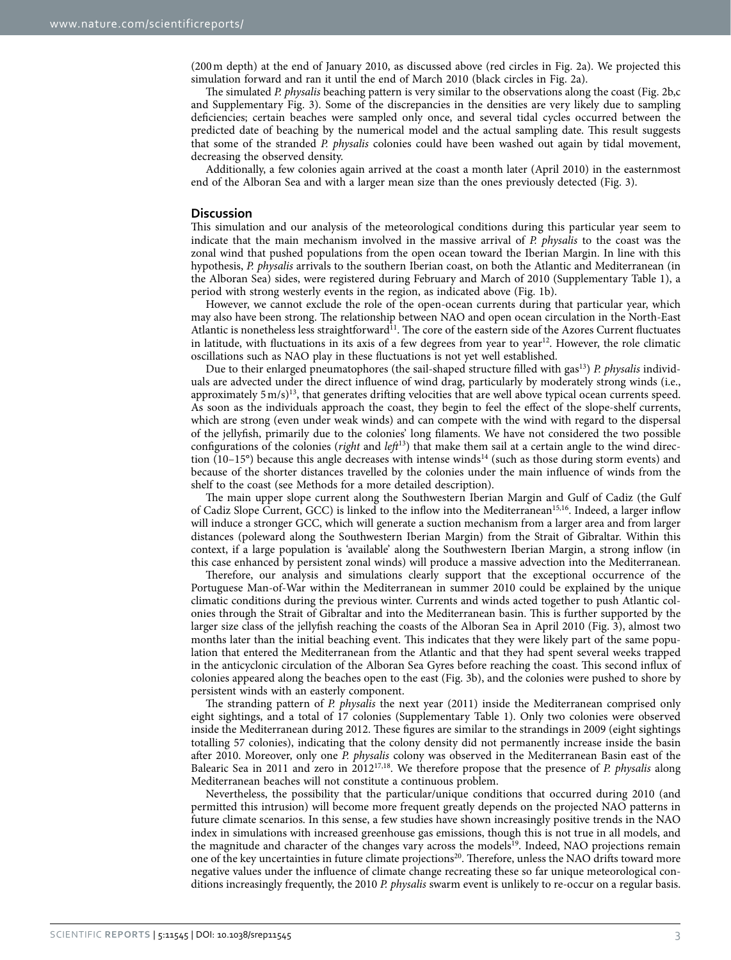(200m depth) at the end of January 2010, as discussed above (red circles in [Fig. 2a](#page-3-0)). We projected this simulation forward and ran it until the end of March 2010 (black circles in [Fig. 2a\)](#page-3-0).

The simulated *P. physalis* beaching pattern is very similar to the observations along the coast ([Fig. 2b,c](#page-3-0)  and Supplementary Fig. 3). Some of the discrepancies in the densities are very likely due to sampling deficiencies; certain beaches were sampled only once, and several tidal cycles occurred between the predicted date of beaching by the numerical model and the actual sampling date. This result suggests that some of the stranded *P. physalis* colonies could have been washed out again by tidal movement, decreasing the observed density.

Additionally, a few colonies again arrived at the coast a month later (April 2010) in the easternmost end of the Alboran Sea and with a larger mean size than the ones previously detected [\(Fig. 3\)](#page-4-0).

#### **Discussion**

This simulation and our analysis of the meteorological conditions during this particular year seem to indicate that the main mechanism involved in the massive arrival of *P. physalis* to the coast was the zonal wind that pushed populations from the open ocean toward the Iberian Margin. In line with this hypothesis, *P. physalis* arrivals to the southern Iberian coast, on both the Atlantic and Mediterranean (in the Alboran Sea) sides, were registered during February and March of 2010 (Supplementary Table 1), a period with strong westerly events in the region, as indicated above [\(Fig. 1b\)](#page-1-0).

However, we cannot exclude the role of the open-ocean currents during that particular year, which may also have been strong. The relationship between NAO and open ocean circulation in the North-East Atlantic is nonetheless less straightforward<sup>11</sup>. The core of the eastern side of the Azores Current fluctuates in latitude, with fluctuations in its axis of a few degrees from year to year<sup>12</sup>. However, the role climatic oscillations such as NAO play in these fluctuations is not yet well established.

Due to their enlarged pneumatophores (the sail-shaped structure filled with gas[13\)](#page-5-12) *P. physalis* individuals are advected under the direct influence of wind drag, particularly by moderately strong winds (i.e., approximately 5 m/s)<sup>13</sup>, that generates drifting velocities that are well above typical ocean currents speed. As soon as the individuals approach the coast, they begin to feel the effect of the slope-shelf currents, which are strong (even under weak winds) and can compete with the wind with regard to the dispersal of the jellyfish, primarily due to the colonies' long filaments. We have not considered the two possible configurations of the colonies (*right* and *left*[13\)](#page-5-12) that make them sail at a certain angle to the wind direction (10–15°) because this angle decreases with intense winds[14](#page-5-13) (such as those during storm events) and because of the shorter distances travelled by the colonies under the main influence of winds from the shelf to the coast (see Methods for a more detailed description).

The main upper slope current along the Southwestern Iberian Margin and Gulf of Cadiz (the Gulf of Cadiz Slope Current, GCC) is linked to the inflow into the Mediterranean<sup>15[,16](#page-5-15)</sup>. Indeed, a larger inflow will induce a stronger GCC, which will generate a suction mechanism from a larger area and from larger distances (poleward along the Southwestern Iberian Margin) from the Strait of Gibraltar. Within this context, if a large population is 'available' along the Southwestern Iberian Margin, a strong inflow (in this case enhanced by persistent zonal winds) will produce a massive advection into the Mediterranean.

Therefore, our analysis and simulations clearly support that the exceptional occurrence of the Portuguese Man-of-War within the Mediterranean in summer 2010 could be explained by the unique climatic conditions during the previous winter. Currents and winds acted together to push Atlantic colonies through the Strait of Gibraltar and into the Mediterranean basin. This is further supported by the larger size class of the jellyfish reaching the coasts of the Alboran Sea in April 2010 [\(Fig. 3\)](#page-4-0), almost two months later than the initial beaching event. This indicates that they were likely part of the same population that entered the Mediterranean from the Atlantic and that they had spent several weeks trapped in the anticyclonic circulation of the Alboran Sea Gyres before reaching the coast. This second influx of colonies appeared along the beaches open to the east [\(Fig. 3b](#page-4-0)), and the colonies were pushed to shore by persistent winds with an easterly component.

The stranding pattern of *P. physalis* the next year (2011) inside the Mediterranean comprised only eight sightings, and a total of 17 colonies (Supplementary Table 1). Only two colonies were observed inside the Mediterranean during 2012. These figures are similar to the strandings in 2009 (eight sightings totalling 57 colonies), indicating that the colony density did not permanently increase inside the basin after 2010. Moreover, only one *P. physalis* colony was observed in the Mediterranean Basin east of the Balearic Sea in 2011 and zero in 2012[17](#page-5-16)[,18](#page-5-17). We therefore propose that the presence of *P. physalis* along Mediterranean beaches will not constitute a continuous problem.

Nevertheless, the possibility that the particular/unique conditions that occurred during 2010 (and permitted this intrusion) will become more frequent greatly depends on the projected NAO patterns in future climate scenarios. In this sense, a few studies have shown increasingly positive trends in the NAO index in simulations with increased greenhouse gas emissions, though this is not true in all models, and the magnitude and character of the changes vary across the models<sup>19</sup>. Indeed, NAO projections remain one of the key uncertainties in future climate projections<sup>20</sup>. Therefore, unless the NAO drifts toward more negative values under the influence of climate change recreating these so far unique meteorological conditions increasingly frequently, the 2010 *P. physalis* swarm event is unlikely to re-occur on a regular basis.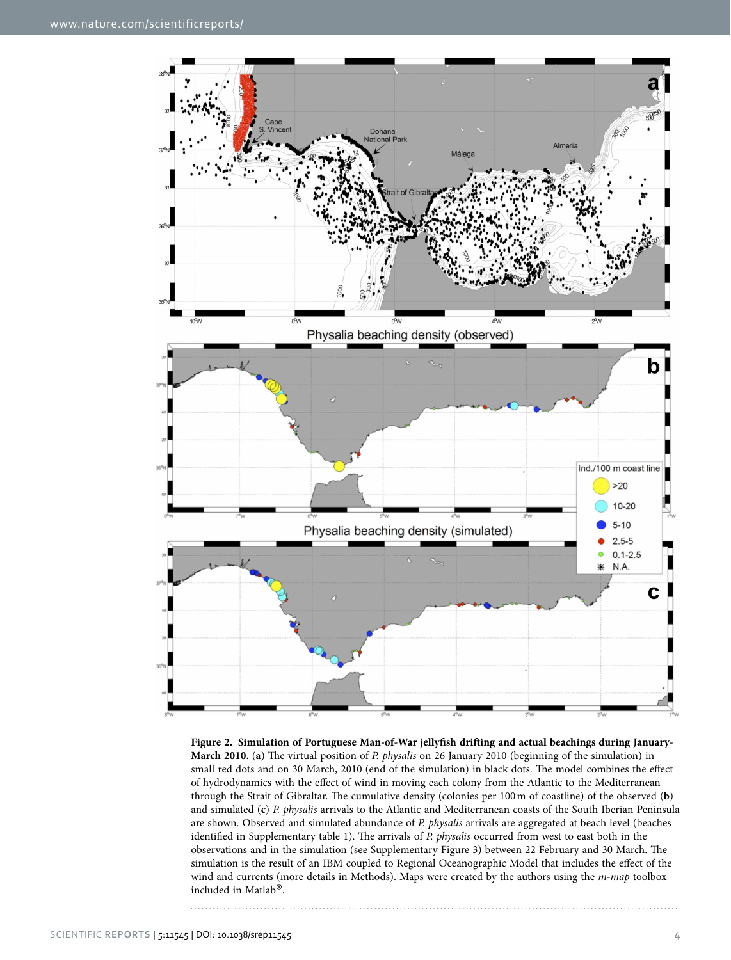

<span id="page-3-0"></span>**Figure 2. Simulation of Portuguese Man-of-War jellyfish drifting and actual beachings during January-March 2010.** (**a**) The virtual position of *P. physalis* on 26 January 2010 (beginning of the simulation) in small red dots and on 30 March, 2010 (end of the simulation) in black dots. The model combines the effect of hydrodynamics with the effect of wind in moving each colony from the Atlantic to the Mediterranean through the Strait of Gibraltar. The cumulative density (colonies per 100m of coastline) of the observed (**b**) and simulated (**c**) *P. physalis* arrivals to the Atlantic and Mediterranean coasts of the South Iberian Peninsula are shown. Observed and simulated abundance of *P. physalis* arrivals are aggregated at beach level (beaches identified in Supplementary table 1). The arrivals of *P. physalis* occurred from west to east both in the observations and in the simulation (see Supplementary Figure 3) between 22 February and 30 March. The simulation is the result of an IBM coupled to Regional Oceanographic Model that includes the effect of the wind and currents (more details in Methods). Maps were created by the authors using the *m-map* toolbox included in Matlab®.

Scientific **Reports** | 5:11545 | DOI: 10.1038/srep11545 4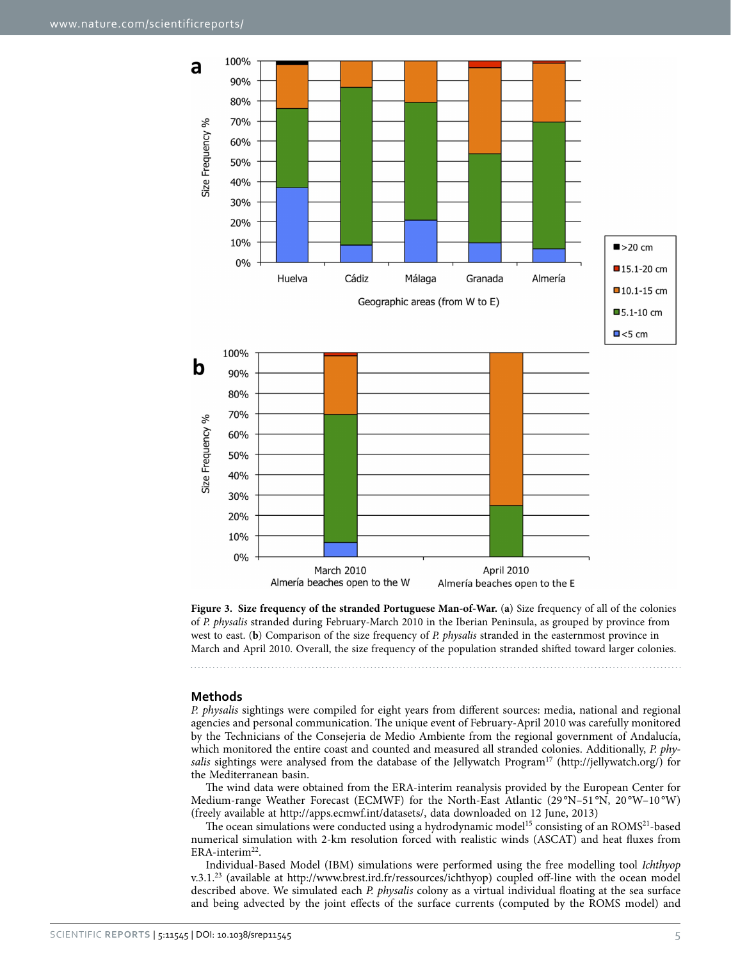

<span id="page-4-0"></span>**Figure 3. Size frequency of the stranded Portuguese Man-of-War.** (**a**) Size frequency of all of the colonies of *P. physalis* stranded during February-March 2010 in the Iberian Peninsula, as grouped by province from west to east. (**b**) Comparison of the size frequency of *P. physalis* stranded in the easternmost province in March and April 2010. Overall, the size frequency of the population stranded shifted toward larger colonies.

#### **Methods**

*P. physalis* sightings were compiled for eight years from different sources: media, national and regional agencies and personal communication. The unique event of February-April 2010 was carefully monitored by the Technicians of the Consejeria de Medio Ambiente from the regional government of Andalucía, which monitored the entire coast and counted and measured all stranded colonies. Additionally, *P. phy-*salis sightings were analysed from the database of the Jellywatch Program<sup>[17](#page-5-16)</sup> [\(http://jellywatch.org/](http://jellywatch.org/)) for the Mediterranean basin.

The wind data were obtained from the ERA-interim reanalysis provided by the European Center for Medium-range Weather Forecast (ECMWF) for the North-East Atlantic (29°N-51°N, 20°W-10°W) (freely available at [http://apps.ecmwf.int/datasets/,](http://apps.ecmwf.int/datasets/) data downloaded on 12 June, 2013)

The ocean simulations were conducted using a hydrodynamic model<sup>15</sup> consisting of an ROMS<sup>21</sup>-based numerical simulation with 2-km resolution forced with realistic winds (ASCAT) and heat fluxes from ERA-interim<sup>22</sup>.

Individual-Based Model (IBM) simulations were performed using the free modelling tool *Ichthyop* v.3.1.[23](#page-5-22) (available at [http://www.brest.ird.fr/ressources/ichthyop\)](http://www.brest.ird.fr/ressources/ichthyop) coupled off-line with the ocean model described above. We simulated each *P. physalis* colony as a virtual individual floating at the sea surface and being advected by the joint effects of the surface currents (computed by the ROMS model) and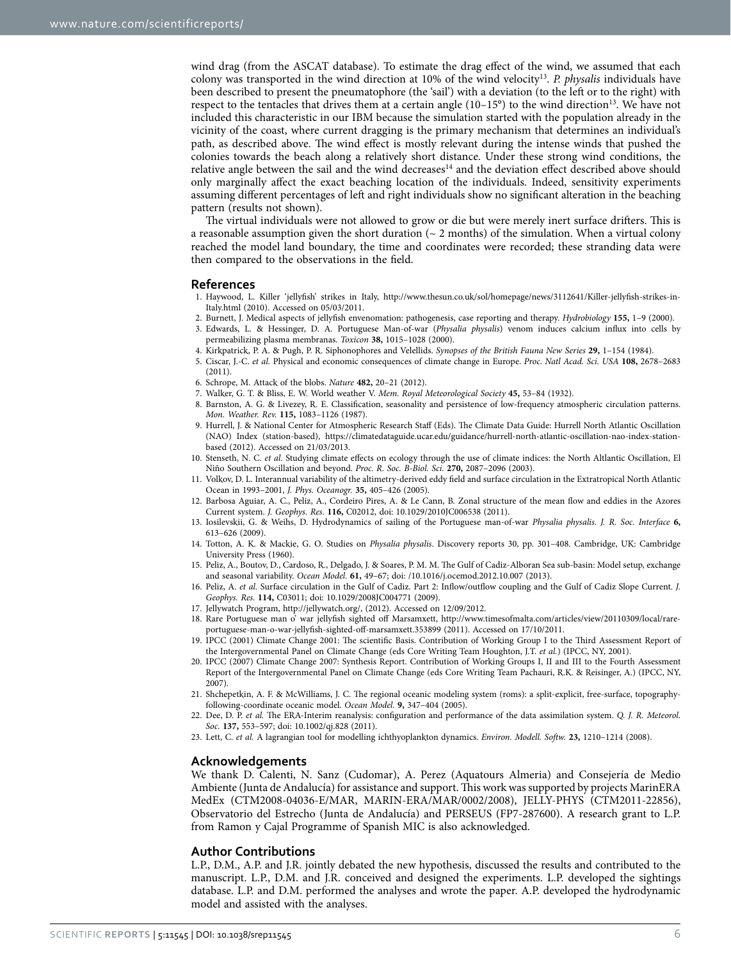wind drag (from the ASCAT database). To estimate the drag effect of the wind, we assumed that each colony was transported in the wind direction at 10% of the wind velocity[13.](#page-5-12) *P. physalis* individuals have been described to present the pneumatophore (the 'sail') with a deviation (to the left or to the right) with respect to the tentacles that drives them at a certain angle  $(10-15^{\circ})$  to the wind direction<sup>13</sup>. We have not included this characteristic in our IBM because the simulation started with the population already in the vicinity of the coast, where current dragging is the primary mechanism that determines an individual's path, as described above. The wind effect is mostly relevant during the intense winds that pushed the colonies towards the beach along a relatively short distance. Under these strong wind conditions, the relative angle between the sail and the wind decreases<sup>14</sup> and the deviation effect described above should only marginally affect the exact beaching location of the individuals. Indeed, sensitivity experiments assuming different percentages of left and right individuals show no significant alteration in the beaching pattern (results not shown).

The virtual individuals were not allowed to grow or die but were merely inert surface drifters. This is a reasonable assumption given the short duration  $($   $\sim$  2 months) of the simulation. When a virtual colony reached the model land boundary, the time and coordinates were recorded; these stranding data were then compared to the observations in the field.

#### **References**

- <span id="page-5-0"></span>1. Haywood, L. Killer 'jellyfish' strikes in Italy, [http://www.thesun.co.uk/sol/homepage/news/3112641/Killer-jellyfish-strikes-in-](http://www.thesun.co.uk/sol/homepage/news/3112641/Killer-jellyfish-strikes-in-Italy.html)[Italy.html](http://www.thesun.co.uk/sol/homepage/news/3112641/Killer-jellyfish-strikes-in-Italy.html) (2010). Accessed on 05/03/2011.
- <span id="page-5-1"></span>2. Burnett, J. Medical aspects of jellyfish envenomation: pathogenesis, case reporting and therapy. *Hydrobiology* **155,** 1–9 (2000).
- <span id="page-5-2"></span>3. Edwards, L. & Hessinger, D. A. Portuguese Man-of-war (*Physalia physalis*) venom induces calcium influx into cells by permeabilizing plasma membranas. *Toxicon* **38,** 1015–1028 (2000).
- <span id="page-5-3"></span>4. Kirkpatrick, P. A. & Pugh, P. R. Siphonophores and Velellids. *Synopses of the British Fauna New Series* **29,** 1–154 (1984).
- <span id="page-5-4"></span>5. Ciscar, J.-C. *et al.* Physical and economic consequences of climate change in Europe. *Proc. Natl Acad. Sci. USA* **108,** 2678–2683 (2011).
- <span id="page-5-5"></span>6. Schrope, M. Attack of the blobs. *Nature* **482,** 20–21 (2012).
- <span id="page-5-6"></span>7. Walker, G. T. & Bliss, E. W. World weather V. *Mem. Royal Meteorological Society* **45,** 53–84 (1932).
- <span id="page-5-7"></span>8. Barnston, A. G. & Livezey, R. E. Classification, seasonality and persistence of low-frequency atmospheric circulation patterns. *Mon. Weather. Rev.* **115,** 1083–1126 (1987).
- <span id="page-5-8"></span>9. Hurrell, J. & National Center for Atmospheric Research Staff (Eds). The Climate Data Guide: Hurrell North Atlantic Oscillation (NAO) Index (station-based), [https://climatedataguide.ucar.edu/guidance/hurrell-north-atlantic-oscillation-nao-index-station](https://climatedataguide.ucar.edu/guidance/hurrell-north-atlantic-oscillation-nao-index-station-based)[based](https://climatedataguide.ucar.edu/guidance/hurrell-north-atlantic-oscillation-nao-index-station-based) (2012). Accessed on 21/03/2013.
- <span id="page-5-9"></span>10. Stenseth, N. C. *et al.* Studying climate effects on ecology through the use of climate indices: the North Altlantic Oscillation, El Niño Southern Oscillation and beyond. *Proc. R. Soc. B-Biol. Sci.* **270,** 2087–2096 (2003).
- <span id="page-5-10"></span>11. Volkov, D. L. Interannual variability of the altimetry-derived eddy field and surface circulation in the Extratropical North Atlantic Ocean in 1993–2001, *J. Phys. Oceanogr.* **35,** 405–426 (2005).
- <span id="page-5-11"></span>12. Barbosa Aguiar, A. C., Peliz, A., Cordeiro Pires, A. & Le Cann, B. Zonal structure of the mean flow and eddies in the Azores Current system. *J. Geophys. Res.* **116,** C02012, doi: 10.1029/2010JC006538 (2011).
- <span id="page-5-12"></span>13. Iosilevskii, G. & Weihs, D. Hydrodynamics of sailing of the Portuguese man-of-war *Physalia physalis*. *J. R. Soc. Interface* **6,** 613–626 (2009).
- <span id="page-5-13"></span>14. Totton, A. K. & Mackie, G. O. Studies on *Physalia physalis*. Discovery reports 30, pp. 301–408. Cambridge, UK: Cambridge University Press (1960).
- <span id="page-5-14"></span>15. Peliz, A., Boutov, D., Cardoso, R., Delgado, J. & Soares, P. M. M. The Gulf of Cadiz-Alboran Sea sub-basin: Model setup, exchange and seasonal variability. *Ocean Model.* **61,** 49–67; doi: /10.1016/j.ocemod.2012.10.007 (2013).
- <span id="page-5-15"></span>16. Peliz, A. *et al.* Surface circulation in the Gulf of Cadiz. Part 2: Inflow/outflow coupling and the Gulf of Cadiz Slope Current. *J. Geophys. Res.* **114,** C03011; doi: 10.1029/2008JC004771 (2009).
- <span id="page-5-16"></span>17. Jellywatch Program, [http://jellywatch.org/,](http://jellywatch.org/) (2012). Accessed on 12/09/2012.
- <span id="page-5-17"></span>18. Rare Portuguese man o' war jellyfish sighted off Marsamxett, [http://www.timesofmalta.com/articles/view/20110309/local/rare](http://www.timesofmalta.com/articles/view/20110309/local/rare-portuguese-man-o-war-jellyfish-sighted-off-marsamxett.353899)[portuguese-man-o-war-jellyfish-sighted-off-marsamxett.353899](http://www.timesofmalta.com/articles/view/20110309/local/rare-portuguese-man-o-war-jellyfish-sighted-off-marsamxett.353899) (2011). Accessed on 17/10/2011.
- <span id="page-5-18"></span>19. IPCC (2001) Climate Change 2001: The scientific Basis. Contribution of Working Group I to the Third Assessment Report of the Intergovernmental Panel on Climate Change (eds Core Writing Team Houghton, J.T. *et al.*) (IPCC, NY, 2001).
- <span id="page-5-19"></span>20. IPCC (2007) Climate Change 2007: Synthesis Report. Contribution of Working Groups I, II and III to the Fourth Assessment Report of the Intergovernmental Panel on Climate Change (eds Core Writing Team Pachauri, R.K. & Reisinger, A.) (IPCC, NY, 2007).
- <span id="page-5-20"></span>21. Shchepetkin, A. F. & McWilliams, J. C. The regional oceanic modeling system (roms): a split-explicit, free-surface, topographyfollowing-coordinate oceanic model. *Ocean Model.* **9,** 347–404 (2005).
- <span id="page-5-21"></span>22. Dee, D. P. *et al.* The ERA-Interim reanalysis: configuration and performance of the data assimilation system. *Q. J. R. Meteorol. Soc.* **137,** 553–597; doi: 10.1002/qj.828 (2011).
- <span id="page-5-22"></span>23. Lett, C. *et al.* A lagrangian tool for modelling ichthyoplankton dynamics. *Environ. Modell. Softw.* **23,** 1210–1214 (2008).

#### **Acknowledgements**

We thank D. Calenti, N. Sanz (Cudomar), A. Perez (Aquatours Almeria) and Consejería de Medio Ambiente (Junta de Andalucía) for assistance and support. This work was supported by projects MarinERA MedEx (CTM2008-04036-E/MAR, MARIN-ERA/MAR/0002/2008), JELLY-PHYS (CTM2011-22856), Observatorio del Estrecho (Junta de Andalucía) and PERSEUS (FP7-287600). A research grant to L.P. from Ramon y Cajal Programme of Spanish MIC is also acknowledged.

#### **Author Contributions**

L.P., D.M., A.P. and J.R. jointly debated the new hypothesis, discussed the results and contributed to the manuscript. L.P., D.M. and J.R. conceived and designed the experiments. L.P. developed the sightings database. L.P. and D.M. performed the analyses and wrote the paper. A.P. developed the hydrodynamic model and assisted with the analyses.